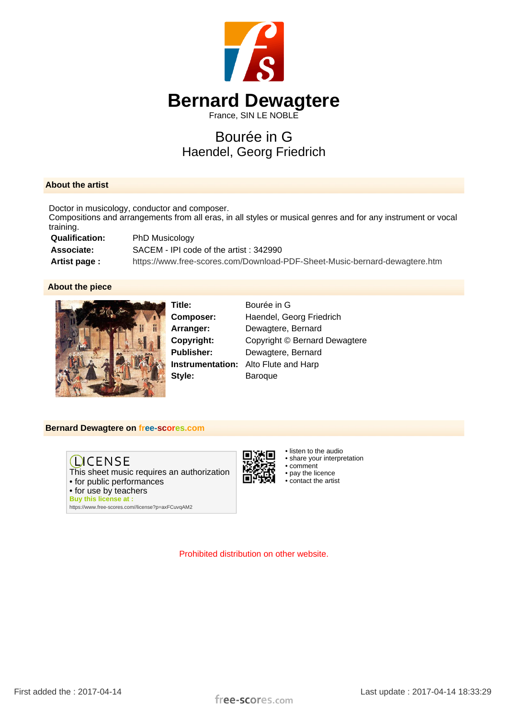

## Bourée in G Haendel, Georg Friedrich

## **About the artist**

Doctor in musicology, conductor and composer.

Compositions and arrangements from all eras, in all styles or musical genres and for any instrument or vocal training.

| <b>Qualification:</b> | <b>PhD Musicology</b>                                                      |
|-----------------------|----------------------------------------------------------------------------|
| <b>Associate:</b>     | SACEM - IPI code of the artist: 342990                                     |
| Artist page:          | https://www.free-scores.com/Download-PDF-Sheet-Music-bernard-dewagtere.htm |

## **About the piece**



**Title:** Bourée in G Style: **Baroque** 

**Composer:** Haendel, Georg Friedrich **Arranger:** Dewagtere, Bernard **Copyright:** Copyright © Bernard Dewagtere **Publisher:** Dewagtere, Bernard **Instrumentation:** Alto Flute and Harp

**Bernard Dewagtere on free-scores.com**



• listen to the audio • share your interpretation • comment

- pay the licence
- contact the artist

Prohibited distribution on other website.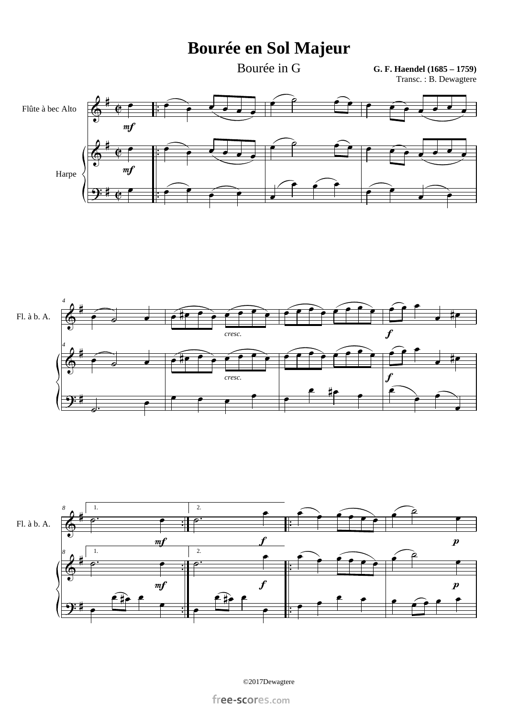Bourée en Sol Majeur

Bourée in G

G. F. Haendel (1685 – 1759) Transc.: B. Dewagtere







©2017Dewagtere

free-scores.com